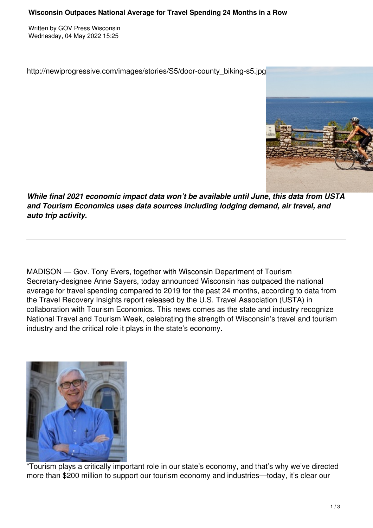Written by GOV Press Wisconsin Wednesday, 04 May 2022 15:25

http://newiprogressive.com/images/stories/S5/door-county\_biking-s5.jpg



*While final 2021 economic impact data won't be available until June, this data from USTA and Tourism Economics uses data sources including lodging demand, air travel, and auto trip activity.*

MADISON — Gov. Tony Evers, together with Wisconsin Department of Tourism Secretary-designee Anne Sayers, today announced Wisconsin has outpaced the national average for travel spending compared to 2019 for the past 24 months, according to data from the Travel Recovery Insights report released by the U.S. Travel Association (USTA) in collaboration with Tourism Economics. This news comes as the state and industry recognize National Travel and Tourism Week, celebrating the strength of Wisconsin's travel and tourism industry and the critical role it plays in the state's economy.



"Tourism plays a critically important role in our state's economy, and that's why we've directed more than \$200 million to support our tourism economy and industries—today, it's clear our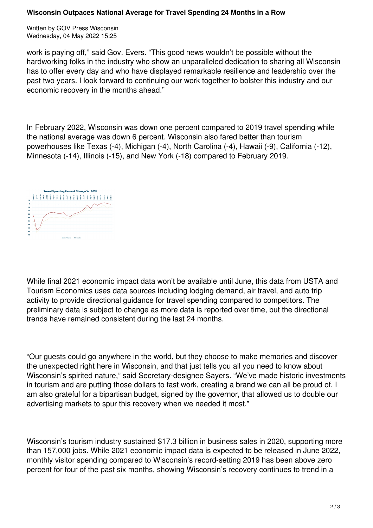## **Wisconsin Outpaces National Average for Travel Spending 24 Months in a Row**

Written by GOV Press Wisconsin Wednesday, 04 May 2022 15:25

work is paying off," said Gov. Evers. "This good news wouldn't be possible without the hardworking folks in the industry who show an unparalleled dedication to sharing all Wisconsin has to offer every day and who have displayed remarkable resilience and leadership over the past two years. I look forward to continuing our work together to bolster this industry and our economic recovery in the months ahead."

In February 2022, Wisconsin was down one percent compared to 2019 travel spending while the national average was down 6 percent. Wisconsin also fared better than tourism powerhouses like Texas (-4), Michigan (-4), North Carolina (-4), Hawaii (-9), California (-12), Minnesota (-14), Illinois (-15), and New York (-18) compared to February 2019.



While final 2021 economic impact data won't be available until June, this data from USTA and Tourism Economics uses data sources including lodging demand, air travel, and auto trip activity to provide directional guidance for travel spending compared to competitors. The preliminary data is subject to change as more data is reported over time, but the directional trends have remained consistent during the last 24 months.

"Our guests could go anywhere in the world, but they choose to make memories and discover the unexpected right here in Wisconsin, and that just tells you all you need to know about Wisconsin's spirited nature," said Secretary-designee Sayers. "We've made historic investments in tourism and are putting those dollars to fast work, creating a brand we can all be proud of. I am also grateful for a bipartisan budget, signed by the governor, that allowed us to double our advertising markets to spur this recovery when we needed it most."

Wisconsin's tourism industry sustained \$17.3 billion in business sales in 2020, supporting more than 157,000 jobs. While 2021 economic impact data is expected to be released in June 2022, monthly visitor spending compared to Wisconsin's record-setting 2019 has been above zero percent for four of the past six months, showing Wisconsin's recovery continues to trend in a